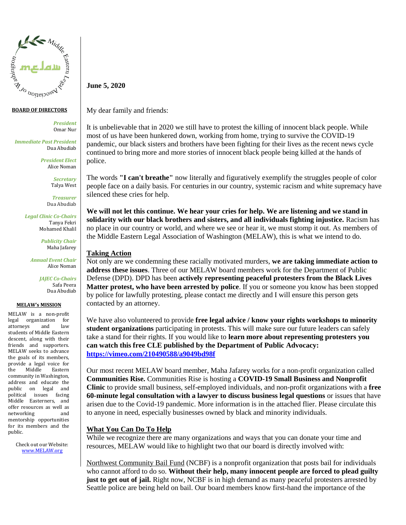

### **BOARD OF DIRECTORS**

*President* Omar Nur

*Immediate Past President* Dua Abudiab

> *President Elect* Alice Noman

> > *Secretary* Talya West

*Treasurer* Dua Abudiab

*Legal Clinic Co-Chairs* Tanya Fekri Mohamed Khalil

> *Publicity Chair* Maha Jafarey

*Annual Event Chair* Alice Noman

> *JAJEC Co-Chairs* Safa Peera Dua Abudiab

### **MELAW's MISSION**

MELAW is a non-profit legal organization for attorneys and law students of Middle Eastern descent, along with their friends and supporters. MELAW seeks to advance the goals of its members, provide a legal voice for the Middle Eastern community in Washington, address and educate the public on legal and political issues facing Middle Easterners, and offer resources as well as networking and mentorship opportunities for its members and the public.

> Check out our Website: www.MELAW.org

**June 5, 2020**

My dear family and friends:

It is unbelievable that in 2020 we still have to protest the killing of innocent black people. While most of us have been hunkered down, working from home, trying to survive the COVID-19 pandemic, our black sisters and brothers have been fighting for their lives as the recent news cycle continued to bring more and more stories of innocent black people being killed at the hands of police.

The words **"I can't breathe"** now literally and figuratively exemplify the struggles people of color people face on a daily basis. For centuries in our country, systemic racism and white supremacy have silenced these cries for help.

**We will not let this continue. We hear your cries for help. We are listening and we stand in solidarity with our black brothers and sisters, and all individuals fighting injustice.** Racism has no place in our country or world, and where we see or hear it, we must stomp it out. As members of the Middle Eastern Legal Association of Washington (MELAW), this is what we intend to do.

## **Taking Action**

Not only are we condemning these racially motivated murders, **we are taking immediate action to address these issues**. Three of our MELAW board members work for the Department of Public Defense (DPD). DPD has been **actively representing peaceful protesters from the Black Lives Matter protest, who have been arrested by police**. If you or someone you know has been stopped by police for lawfully protesting, please contact me directly and I will ensure this person gets contacted by an attorney.

We have also volunteered to provide **free legal advice / know your rights workshops to minority student organizations** participating in protests. This will make sure our future leaders can safely take a stand for their rights. If you would like to **learn more about representing protesters you can watch this free CLE published by the Department of Public Advocacy: <https://vimeo.com/210490588/a9049bd98f>**

Our most recent MELAW board member, Maha Jafarey works for a non-profit organization called **Communities Rise.** Communities Rise is hosting a **COVID-19 Small Business and Nonprofit Clinic** to provide small business, self-employed individuals, and non-profit organizations with a **free 60-minute legal consultation with a lawyer to discuss business legal questions** or issues that have arisen due to the Covid-19 pandemic. More information is in the attached flier. Please circulate this to anyone in need, especially businesses owned by black and minority individuals.

# **What You Can Do To Help**

While we recognize there are many organizations and ways that you can donate your time and resources, MELAW would like to highlight two that our board is directly involved with:

Northwest Community Bail Fund (NCBF) is a nonprofit organization that posts bail for individuals who cannot afford to do so. **Without their help, many innocent people are forced to plead guilty just to get out of jail.** Right now, NCBF is in high demand as many peaceful protesters arrested by Seattle police are being held on bail. Our board members know first-hand the importance of the